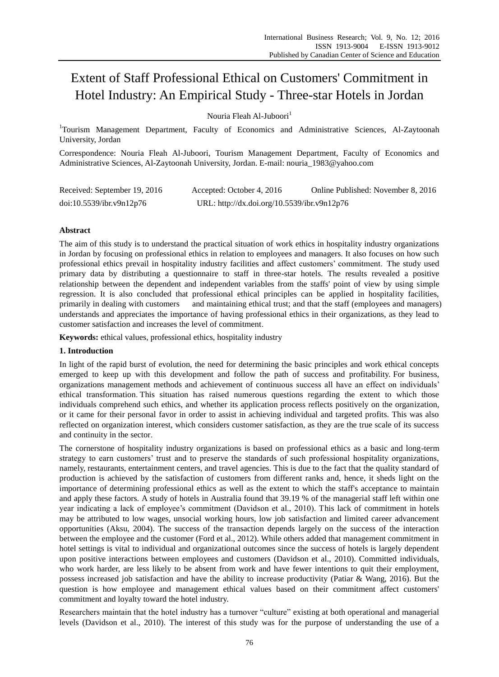# Extent of Staff Professional Ethical on Customers' Commitment in Hotel Industry: An Empirical Study - Three-star Hotels in Jordan

Nouria Fleah Al-Juboori<sup>1</sup>

<sup>1</sup>Tourism Management Department, Faculty of Economics and Administrative Sciences, Al-Zaytoonah University, Jordan

Correspondence: Nouria Fleah Al-Juboori, Tourism Management Department, Faculty of Economics and Administrative Sciences, Al-Zaytoonah University, Jordan. E-mail: nouria\_1983@yahoo.com

| Received: September 19, 2016 | Accepted: October 4, 2016                   | Online Published: November 8, 2016 |
|------------------------------|---------------------------------------------|------------------------------------|
| doi:10.5539/ibr.v9n12p76     | URL: http://dx.doi.org/10.5539/ibr.v9n12p76 |                                    |

## **Abstract**

The aim of this study is to understand the practical situation of work ethics in hospitality industry organizations in Jordan by focusing on professional ethics in relation to employees and managers. It also focuses on how such professional ethics prevail in hospitality industry facilities and affect customers' commitment. The study used primary data by distributing a questionnaire to staff in three-star hotels. The results revealed a positive relationship between the dependent and independent variables from the staffs' point of view by using simple regression. It is also concluded that professional ethical principles can be applied in hospitality facilities, primarily in dealing with customers and maintaining ethical trust; and that the staff (employees and managers) understands and appreciates the importance of having professional ethics in their organizations, as they lead to customer satisfaction and increases the level of commitment.

**Keywords:** ethical values, professional ethics, hospitality industry

### **1. Introduction**

In light of the rapid burst of evolution, the need for determining the basic principles and work ethical concepts emerged to keep up with this development and follow the path of success and profitability. For business, organizations management methods and achievement of continuous success all have an effect on individuals' ethical transformation. This situation has raised numerous questions regarding the extent to which those individuals comprehend such ethics, and whether its application process reflects positively on the organization, or it came for their personal favor in order to assist in achieving individual and targeted profits. This was also reflected on organization interest, which considers customer satisfaction, as they are the true scale of its success and continuity in the sector.

The cornerstone of hospitality industry organizations is based on professional ethics as a basic and long-term strategy to earn customers' trust and to preserve the standards of such professional hospitality organizations, namely, restaurants, entertainment centers, and travel agencies. This is due to the fact that the quality standard of production is achieved by the satisfaction of customers from different ranks and, hence, it sheds light on the importance of determining professional ethics as well as the extent to which the staff's acceptance to maintain and apply these factors. A study of hotels in Australia found that 39.19 % of the managerial staff left within one year indicating a lack of employee's commitment (Davidson et al., 2010). This lack of commitment in hotels may be attributed to low wages, unsocial working hours, low job satisfaction and limited career advancement opportunities (Aksu, 2004). The success of the transaction depends largely on the success of the interaction between the employee and the customer (Ford et al., 2012). While others added that management commitment in hotel settings is vital to individual and organizational outcomes since the success of hotels is largely dependent upon positive interactions between employees and customers (Davidson et al., 2010). Committed individuals, who work harder, are less likely to be absent from work and have fewer intentions to quit their employment, possess increased job satisfaction and have the ability to increase productivity (Patiar & Wang, 2016). But the question is how employee and management ethical values based on their commitment affect customers' commitment and loyalty toward the hotel industry.

Researchers maintain that the hotel industry has a turnover "culture" existing at both operational and managerial levels (Davidson et al., 2010). The interest of this study was for the purpose of understanding the use of a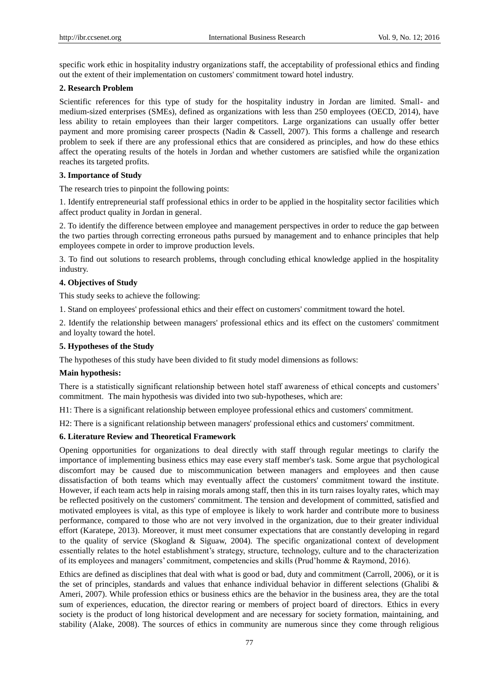specific work ethic in hospitality industry organizations staff, the acceptability of professional ethics and finding out the extent of their implementation on customers' commitment toward hotel industry.

## **2. Research Problem**

Scientific references for this type of study for the hospitality industry in Jordan are limited. Small- and medium-sized enterprises (SMEs), defined as organizations with less than 250 employees (OECD, 2014), have less ability to retain employees than their larger competitors. Large organizations can usually offer better payment and more promising career prospects (Nadin & Cassell, 2007). This forms a challenge and research problem to seek if there are any professional ethics that are considered as principles, and how do these ethics affect the operating results of the hotels in Jordan and whether customers are satisfied while the organization reaches its targeted profits.

## **3. Importance of Study**

The research tries to pinpoint the following points:

1. Identify entrepreneurial staff professional ethics in order to be applied in the hospitality sector facilities which affect product quality in Jordan in general.

2. To identify the difference between employee and management perspectives in order to reduce the gap between the two parties through correcting erroneous paths pursued by management and to enhance principles that help employees compete in order to improve production levels.

3. To find out solutions to research problems, through concluding ethical knowledge applied in the hospitality industry.

## **4. Objectives of Study**

This study seeks to achieve the following:

1. Stand on employees' professional ethics and their effect on customers' commitment toward the hotel.

2. Identify the relationship between managers' professional ethics and its effect on the customers' commitment and loyalty toward the hotel.

### **5. Hypotheses of the Study**

The hypotheses of this study have been divided to fit study model dimensions as follows:

### **Main hypothesis:**

There is a statistically significant relationship between hotel staff awareness of ethical concepts and customers' commitment. The main hypothesis was divided into two sub-hypotheses, which are:

H1: There is a significant relationship between employee professional ethics and customers' commitment.

H2: There is a significant relationship between managers' professional ethics and customers' commitment.

## **6. Literature Review and Theoretical Framework**

Opening opportunities for organizations to deal directly with staff through regular meetings to clarify the importance of implementing business ethics may ease every staff member's task. Some argue that psychological discomfort may be caused due to miscommunication between managers and employees and then cause dissatisfaction of both teams which may eventually affect the customers' commitment toward the institute. However, if each team acts help in raising morals among staff, then this in its turn raises loyalty rates, which may be reflected positively on the customers' commitment. The tension and development of committed, satisfied and motivated employees is vital, as this type of employee is likely to work harder and contribute more to business performance, compared to those who are not very involved in the organization, due to their greater individual effort (Karatepe, 2013). Moreover, it must meet consumer expectations that are constantly developing in regard to the quality of service (Skogland & Siguaw, 2004). The specific organizational context of development essentially relates to the hotel establishment's strategy, structure, technology, culture and to the characterization of its employees and managers' commitment, competencies and skills (Prud'homme & Raymond, 2016).

Ethics are defined as disciplines that deal with what is good or bad, duty and commitment (Carroll, 2006), or it is the set of principles, standards and values that enhance individual behavior in different selections (Ghalibi & Ameri, 2007). While profession ethics or business ethics are the behavior in the business area, they are the total sum of experiences, education, the director rearing or members of project board of directors. Ethics in every society is the product of long historical development and are necessary for society formation, maintaining, and stability (Alake, 2008). The sources of ethics in community are numerous since they come through religious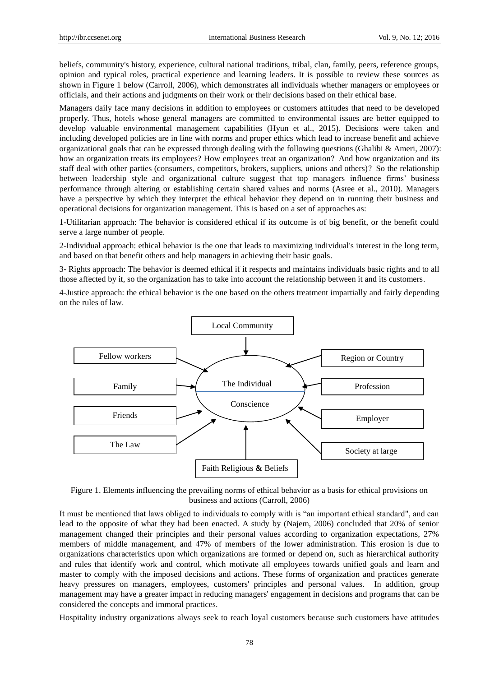beliefs, community's history, experience, cultural national traditions, tribal, clan, family, peers, reference groups, opinion and typical roles, practical experience and learning leaders. It is possible to review these sources as shown in Figure 1 below (Carroll, 2006), which demonstrates all individuals whether managers or employees or officials, and their actions and judgments on their work or their decisions based on their ethical base.

Managers daily face many decisions in addition to employees or customers attitudes that need to be developed properly. Thus, hotels whose general managers are committed to environmental issues are better equipped to develop valuable environmental management capabilities (Hyun et al., 2015). Decisions were taken and including developed policies are in line with norms and proper ethics which lead to increase benefit and achieve organizational goals that can be expressed through dealing with the following questions (Ghalibi & Ameri, 2007): how an organization treats its employees? How employees treat an organization? And how organization and its staff deal with other parties (consumers, competitors, brokers, suppliers, unions and others)? So the relationship between leadership style and organizational culture suggest that top managers influence firms' business performance through altering or establishing certain shared values and norms (Asree et al., 2010). Managers have a perspective by which they interpret the ethical behavior they depend on in running their business and operational decisions for organization management. This is based on a set of approaches as:

1-Utilitarian approach: The behavior is considered ethical if its outcome is of big benefit, or the benefit could serve a large number of people.

2-Individual approach: ethical behavior is the one that leads to maximizing individual's interest in the long term, and based on that benefit others and help managers in achieving their basic goals.

3- Rights approach: The behavior is deemed ethical if it respects and maintains individuals basic rights and to all those affected by it, so the organization has to take into account the relationship between it and its customers.

4-Justice approach: the ethical behavior is the one based on the others treatment impartially and fairly depending on the rules of law.



Figure 1. Elements influencing the prevailing norms of ethical behavior as a basis for ethical provisions on business and actions (Carroll, 2006)

It must be mentioned that laws obliged to individuals to comply with is "an important ethical standard", and can lead to the opposite of what they had been enacted. A study by (Najem, 2006) concluded that 20% of senior management changed their principles and their personal values according to organization expectations, 27% members of middle management, and 47% of members of the lower administration. This erosion is due to organizations characteristics upon which organizations are formed or depend on, such as hierarchical authority and rules that identify work and control, which motivate all employees towards unified goals and learn and master to comply with the imposed decisions and actions. These forms of organization and practices generate heavy pressures on managers, employees, customers' principles and personal values. In addition, group management may have a greater impact in reducing managers' engagement in decisions and programs that can be considered the concepts and immoral practices.

Hospitality industry organizations always seek to reach loyal customers because such customers have attitudes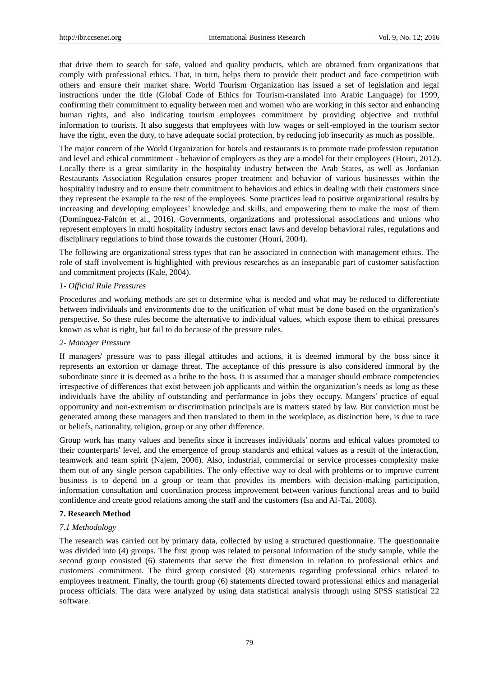that drive them to search for safe, valued and quality products, which are obtained from organizations that comply with professional ethics. That, in turn, helps them to provide their product and face competition with others and ensure their market share. World Tourism Organization has issued a set of legislation and legal instructions under the title (Global Code of Ethics for Tourism-translated into Arabic Language) for 1999, confirming their commitment to equality between men and women who are working in this sector and enhancing human rights, and also indicating tourism employees commitment by providing objective and truthful information to tourists. It also suggests that employees with low wages or self-employed in the tourism sector have the right, even the duty, to have adequate social protection, by reducing job insecurity as much as possible.

The major concern of the World Organization for hotels and restaurants is to promote trade profession reputation and level and ethical commitment - behavior of employers as they are a model for their employees (Houri, 2012). Locally there is a great similarity in the hospitality industry between the Arab States, as well as Jordanian Restaurants Association Regulation ensures proper treatment and behavior of various businesses within the hospitality industry and to ensure their commitment to behaviors and ethics in dealing with their customers since they represent the example to the rest of the employees. Some practices lead to positive organizational results by increasing and developing employees' knowledge and skills, and empowering them to make the most of them (Domínguez-Falcón et al., 2016). Governments, organizations and professional associations and unions who represent employers in multi hospitality industry sectors enact laws and develop behavioral rules, regulations and disciplinary regulations to bind those towards the customer (Houri, 2004).

The following are organizational stress types that can be associated in connection with management ethics. The role of staff involvement is highlighted with previous researches as an inseparable part of customer satisfaction and commitment projects (Kale, 2004).

#### *1- Official Rule Pressures*

Procedures and working methods are set to determine what is needed and what may be reduced to differentiate between individuals and environments due to the unification of what must be done based on the organization's perspective. So these rules become the alternative to individual values, which expose them to ethical pressures known as what is right, but fail to do because of the pressure rules.

#### *2- Manager Pressure*

If managers' pressure was to pass illegal attitudes and actions, it is deemed immoral by the boss since it represents an extortion or damage threat. The acceptance of this pressure is also considered immoral by the subordinate since it is deemed as a bribe to the boss. It is assumed that a manager should embrace competencies irrespective of differences that exist between job applicants and within the organization's needs as long as these individuals have the ability of outstanding and performance in jobs they occupy. Mangers' practice of equal opportunity and non-extremism or discrimination principals are is matters stated by law. But conviction must be generated among these managers and then translated to them in the workplace, as distinction here, is due to race or beliefs, nationality, religion, group or any other difference.

Group work has many values and benefits since it increases individuals' norms and ethical values promoted to their counterparts' level, and the emergence of group standards and ethical values as a result of the interaction, teamwork and team spirit (Najem, 2006). Also, industrial, commercial or service processes complexity make them out of any single person capabilities. The only effective way to deal with problems or to improve current business is to depend on a group or team that provides its members with decision-making participation, information consultation and coordination process improvement between various functional areas and to build confidence and create good relations among the staff and the customers (Isa and Al-Tai, 2008).

#### **7. Research Method**

#### *7.1 Methodology*

The research was carried out by primary data, collected by using a structured questionnaire. The questionnaire was divided into (4) groups. The first group was related to personal information of the study sample, while the second group consisted (6) statements that serve the first dimension in relation to professional ethics and customers' commitment. The third group consisted (8) statements regarding professional ethics related to employees treatment. Finally, the fourth group (6) statements directed toward professional ethics and managerial process officials. The data were analyzed by using data statistical analysis through using SPSS statistical 22 software.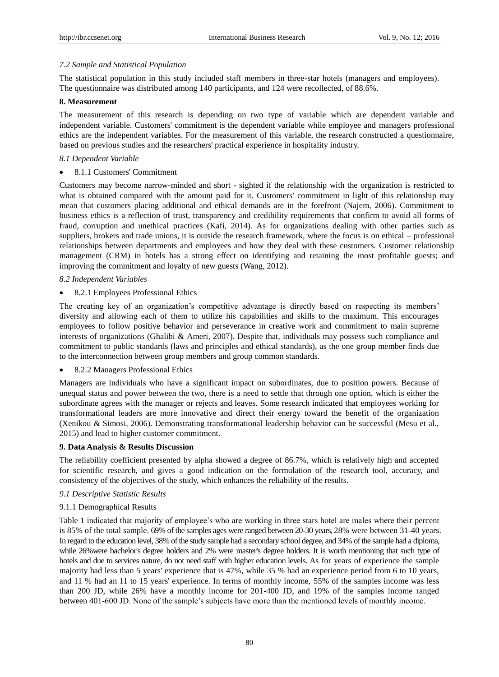## *7.2 Sample and Statistical Population*

The statistical population in this study included staff members in three-star hotels (managers and employees). The questionnaire was distributed among 140 participants, and 124 were recollected, of 88.6%.

## **8. Measurement**

The measurement of this research is depending on two type of variable which are dependent variable and independent variable. Customers' commitment is the dependent variable while employee and managers professional ethics are the independent variables. For the measurement of this variable, the research constructed a questionnaire, based on previous studies and the researchers' practical experience in hospitality industry.

## *8.1 Dependent Variable*

8.1.1 Customers' Commitment

Customers may become narrow-minded and short - sighted if the relationship with the organization is restricted to what is obtained compared with the amount paid for it. Customers' commitment in light of this relationship may mean that customers placing additional and ethical demands are in the forefront (Najem, 2006). Commitment to business ethics is a reflection of trust, transparency and credibility requirements that confirm to avoid all forms of fraud, corruption and unethical practices (Kafi, 2014). As for organizations dealing with other parties such as suppliers, brokers and trade unions, it is outside the research framework, where the focus is on ethical – professional relationships between departments and employees and how they deal with these customers. Customer relationship management (CRM) in hotels has a strong effect on identifying and retaining the most profitable guests; and improving the commitment and loyalty of new guests (Wang, 2012).

## *8.2 Independent Variables*

8.2.1 Employees Professional Ethics

The creating key of an organization's competitive advantage is directly based on respecting its members' diversity and allowing each of them to utilize his capabilities and skills to the maximum. This encourages employees to follow positive behavior and perseverance in creative work and commitment to main supreme interests of organizations (Ghalibi & Ameri, 2007). Despite that, individuals may possess such compliance and commitment to public standards (laws and principles and ethical standards), as the one group member finds due to the interconnection between group members and group common standards.

8.2.2 Managers Professional Ethics

Managers are individuals who have a significant impact on subordinates, due to position powers. Because of unequal status and power between the two, there is a need to settle that through one option, which is either the subordinate agrees with the manager or rejects and leaves. Some research indicated that employees working for transformational leaders are more innovative and direct their energy toward the benefit of the organization (Xenikou & Simosi, 2006). Demonstrating transformational leadership behavior can be successful (Mesu et al., 2015) and lead to higher customer commitment.

### **9. Data Analysis & Results Discussion**

The reliability coefficient presented by alpha showed a degree of 86.7%, which is relatively high and accepted for scientific research, and gives a good indication on the formulation of the research tool, accuracy, and consistency of the objectives of the study, which enhances the reliability of the results.

### *9.1 Descriptive Statistic Results*

### 9.1.1 Demographical Results

Table 1 indicated that majority of employee's who are working in three stars hotel are males where their percent is 85% of the total sample. 69% of the samples ages were ranged between 20-30 years, 28% were between 31-40 years. In regard to the education level, 38% of the study sample had a secondary school degree, and 34% of the sample had a diploma, while 26%were bachelor's degree holders and 2% were master's degree holders. It is worth mentioning that such type of hotels and due to services nature, do not need staff with higher education levels. As for years of experience the sample majority had less than 5 years' experience that is 47%, while 35 % had an experience period from 6 to 10 years, and 11 % had an 11 to 15 years' experience. In terms of monthly income, 55% of the samples income was less than 200 JD, while 26% have a monthly income for 201-400 JD, and 19% of the samples income ranged between 401-600 JD. None of the sample's subjects have more than the mentioned levels of monthly income.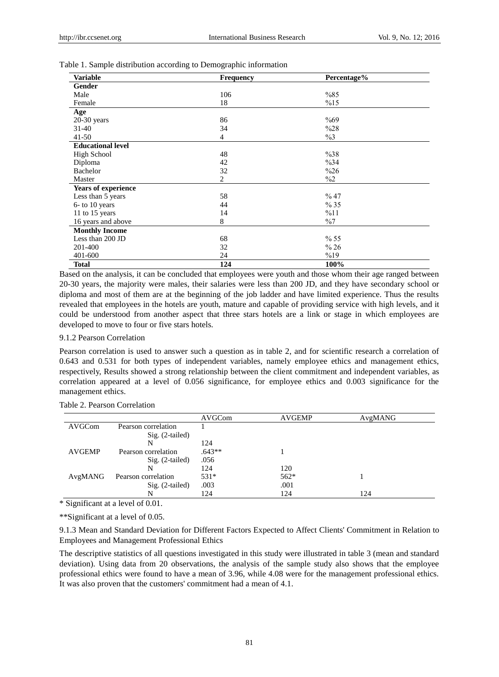| <b>Variable</b>          | Frequency      | Percentage%     |  |  |
|--------------------------|----------------|-----------------|--|--|
| <b>Gender</b>            |                |                 |  |  |
| Male                     | 106            | %85             |  |  |
| Female                   | 18             | %15             |  |  |
| Age                      |                |                 |  |  |
| $20-30$ years            | 86             | $\%69$          |  |  |
| $31-40$                  | 34             | %28             |  |  |
| $41 - 50$                | 4              | $\%3$           |  |  |
| <b>Educational level</b> |                |                 |  |  |
| High School              | 48             | %38             |  |  |
| Diploma                  | 42             | $\%34$          |  |  |
| Bachelor                 | 32             | $\frac{626}{6}$ |  |  |
| Master                   | $\overline{2}$ | $\frac{0}{2}$   |  |  |
| Years of experience      |                |                 |  |  |
| Less than 5 years        | 58             | %47             |  |  |
| 6- to 10 years           | 44             | % 35            |  |  |
| 11 to 15 years           | 14             | %11             |  |  |
| 16 years and above       | 8              | $\%7$           |  |  |
| <b>Monthly Income</b>    |                |                 |  |  |
| Less than 200 JD         | 68             | % 55            |  |  |
| 201-400                  | 32             | % 26            |  |  |
| 401-600                  | 24             | %19             |  |  |
| <b>Total</b>             | 124            | 100%            |  |  |

Table 1. Sample distribution according to Demographic information

Based on the analysis, it can be concluded that employees were youth and those whom their age ranged between 20-30 years, the majority were males, their salaries were less than 200 JD, and they have secondary school or diploma and most of them are at the beginning of the job ladder and have limited experience. Thus the results revealed that employees in the hotels are youth, mature and capable of providing service with high levels, and it could be understood from another aspect that three stars hotels are a link or stage in which employees are developed to move to four or five stars hotels.

#### 9.1.2 Pearson Correlation

Pearson correlation is used to answer such a question as in table 2, and for scientific research a correlation of 0.643 and 0.531 for both types of independent variables, namely employee ethics and management ethics, respectively, Results showed a strong relationship between the client commitment and independent variables, as correlation appeared at a level of 0.056 significance, for employee ethics and 0.003 significance for the management ethics.

|               |                     | AVGCom   | <b>AVGEMP</b> | AvgMANG |  |
|---------------|---------------------|----------|---------------|---------|--|
| AVGCom        | Pearson correlation |          |               |         |  |
|               | $Sig. (2-tailed)$   |          |               |         |  |
|               | N                   | 124      |               |         |  |
| <b>AVGEMP</b> | Pearson correlation | $.643**$ |               |         |  |
|               | Sig. (2-tailed)     | .056     |               |         |  |
|               | N                   | 124      | 120           |         |  |
| AvgMANG       | Pearson correlation | $531*$   | $562*$        |         |  |
|               | $Sig. (2-tailed)$   | .003     | .001          |         |  |
|               | N                   | 124      | 124           | 124     |  |

## Table 2. Pearson Correlation

\* Significant at a level of 0.01.

\*\*Significant at a level of 0.05.

9.1.3 Mean and Standard Deviation for Different Factors Expected to Affect Clients' Commitment in Relation to Employees and Management Professional Ethics

The descriptive statistics of all questions investigated in this study were illustrated in table 3 (mean and standard deviation). Using data from 20 observations, the analysis of the sample study also shows that the employee professional ethics were found to have a mean of 3.96, while 4.08 were for the management professional ethics. It was also proven that the customers' commitment had a mean of 4.1.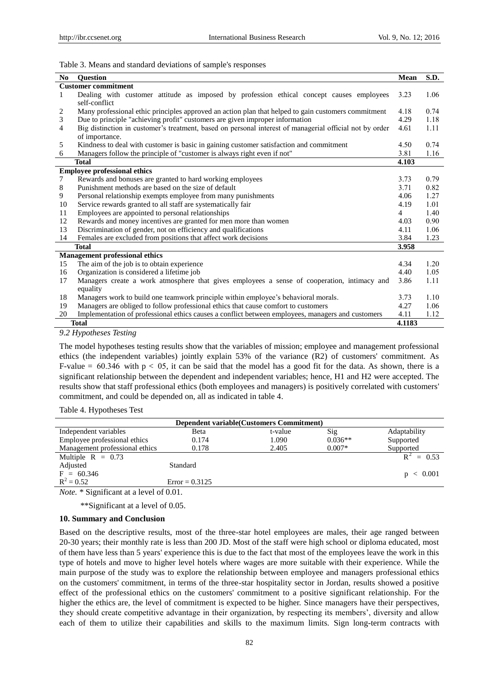#### Table 3. Means and standard deviations of sample's responses

| No.                        | Question                                                                                                | Mean           | S.D. |  |  |
|----------------------------|---------------------------------------------------------------------------------------------------------|----------------|------|--|--|
| <b>Customer commitment</b> |                                                                                                         |                |      |  |  |
| 1                          | Dealing with customer attitude as imposed by profession ethical concept causes employees                | 3.23           | 1.06 |  |  |
|                            | self-conflict                                                                                           |                |      |  |  |
| 2                          | Many professional ethic principles approved an action plan that helped to gain customers commitment     | 4.18           | 0.74 |  |  |
| 3                          | Due to principle "achieving profit" customers are given improper information                            | 4.29           | 1.18 |  |  |
| $\overline{4}$             | Big distinction in customer's treatment, based on personal interest of managerial official not by order | 4.61           | 1.11 |  |  |
|                            | of importance.                                                                                          |                |      |  |  |
| 5                          | Kindness to deal with customer is basic in gaining customer satisfaction and commitment                 | 4.50           | 0.74 |  |  |
| 6                          | Managers follow the principle of "customer is always right even if not"                                 | 3.81           | 1.16 |  |  |
|                            | <b>Total</b>                                                                                            | 4.103          |      |  |  |
|                            | <b>Employee professional ethics</b>                                                                     |                |      |  |  |
| 7                          | Rewards and bonuses are granted to hard working employees                                               | 3.73           | 0.79 |  |  |
| 8                          | Punishment methods are based on the size of default                                                     | 3.71           | 0.82 |  |  |
| 9                          | Personal relationship exempts employee from many punishments                                            |                | 1.27 |  |  |
| 10                         | Service rewards granted to all staff are systematically fair                                            | 4.19           | 1.01 |  |  |
| 11                         | Employees are appointed to personal relationships                                                       | $\overline{4}$ | 1.40 |  |  |
| 12                         | Rewards and money incentives are granted for men more than women                                        | 4.03           | 0.90 |  |  |
| 13                         | Discrimination of gender, not on efficiency and qualifications                                          | 4.11           | 1.06 |  |  |
| 14                         | Females are excluded from positions that affect work decisions                                          | 3.84           | 1.23 |  |  |
|                            | <b>Total</b>                                                                                            | 3.958          |      |  |  |
|                            | <b>Management professional ethics</b>                                                                   |                |      |  |  |
| 15                         | The aim of the job is to obtain experience                                                              | 4.34           | 1.20 |  |  |
| 16                         | Organization is considered a lifetime job                                                               | 4.40           | 1.05 |  |  |
| 17                         | Managers create a work atmosphere that gives employees a sense of cooperation, intimacy and             | 3.86           | 1.11 |  |  |
|                            | equality                                                                                                |                |      |  |  |
| 18                         | Managers work to build one teamwork principle within employee's behavioral morals.                      | 3.73           | 1.10 |  |  |
| 19                         | Managers are obliged to follow professional ethics that cause comfort to customers                      | 4.27           | 1.06 |  |  |
| 20                         | Implementation of professional ethics causes a conflict between employees, managers and customers       | 4.11           | 1.12 |  |  |
|                            | <b>Total</b>                                                                                            | 4.1183         |      |  |  |

*9.2 Hypotheses Testing* 

The model hypotheses testing results show that the variables of mission; employee and management professional ethics (the independent variables) jointly explain 53% of the variance (R2) of customers' commitment. As F-value =  $60.346$  with p < 05, it can be said that the model has a good fit for the data. As shown, there is a significant relationship between the dependent and independent variables; hence, H1 and H2 were accepted. The results show that staff professional ethics (both employees and managers) is positively correlated with customers' commitment, and could be depended on, all as indicated in table 4.

Table 4. Hypotheses Test

| <b>Dependent variable (Customers Commitment)</b> |                  |         |           |              |  |
|--------------------------------------------------|------------------|---------|-----------|--------------|--|
| Independent variables                            | Beta             | t-value | Sig       | Adaptability |  |
| Employee professional ethics                     | 0.174            | 1.090   | $0.036**$ | Supported    |  |
| Management professional ethics                   | 0.178            | 2.405   | $0.007*$  | Supported    |  |
| Multiple $R = 0.73$                              |                  |         |           | $R^2 = 0.53$ |  |
| Adjusted                                         | Standard         |         |           |              |  |
| $F = 60.346$                                     |                  |         |           | p < 0.001    |  |
| $R^2 = 0.52$                                     | $Error = 0.3125$ |         |           |              |  |
| <i>Note.</i> * Significant at a level of 0.01.   |                  |         |           |              |  |

\*\*Significant at a level of 0.05.

#### **10. Summary and Conclusion**

Based on the descriptive results, most of the three-star hotel employees are males, their age ranged between 20-30 years; their monthly rate is less than 200 JD. Most of the staff were high school or diploma educated, most of them have less than 5 years' experience this is due to the fact that most of the employees leave the work in this type of hotels and move to higher level hotels where wages are more suitable with their experience. While the main purpose of the study was to explore the relationship between employee and managers professional ethics on the customers' commitment, in terms of the three-star hospitality sector in Jordan, results showed a positive effect of the professional ethics on the customers' commitment to a positive significant relationship. For the higher the ethics are, the level of commitment is expected to be higher. Since managers have their perspectives, they should create competitive advantage in their organization, by respecting its members', diversity and allow each of them to utilize their capabilities and skills to the maximum limits. Sign long-term contracts with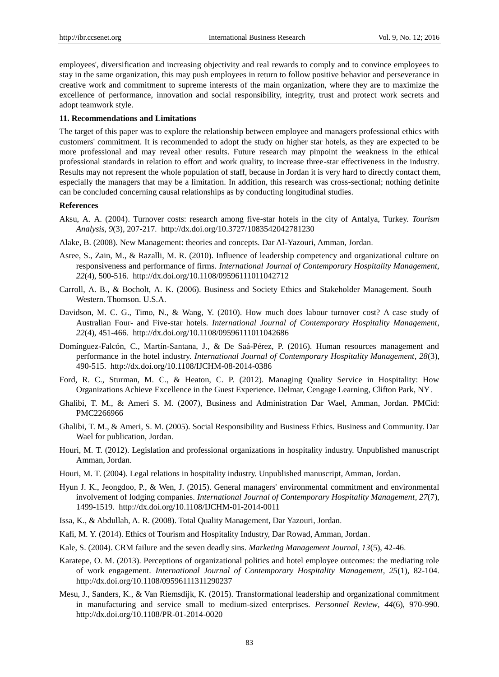employees', diversification and increasing objectivity and real rewards to comply and to convince employees to stay in the same organization, this may push employees in return to follow positive behavior and perseverance in creative work and commitment to supreme interests of the main organization, where they are to maximize the excellence of performance, innovation and social responsibility, integrity, trust and protect work secrets and adopt teamwork style.

#### **11. Recommendations and Limitations**

The target of this paper was to explore the relationship between employee and managers professional ethics with customers' commitment. It is recommended to adopt the study on higher star hotels, as they are expected to be more professional and may reveal other results. Future research may pinpoint the weakness in the ethical professional standards in relation to effort and work quality, to increase three-star effectiveness in the industry. Results may not represent the whole population of staff, because in Jordan it is very hard to directly contact them, especially the managers that may be a limitation. In addition, this research was cross-sectional; nothing definite can be concluded concerning causal relationships as by conducting longitudinal studies.

#### **References**

- Aksu, A. A. (2004). Turnover costs: research among five-star hotels in the city of Antalya, Turkey. *Tourism Analysis, 9*(3), 207-217. http://dx.doi.org/10.3727/1083542042781230
- Alake, B. (2008). New Management: theories and concepts. Dar Al-Yazouri, Amman, Jordan.
- Asree, S., Zain, M., & Razalli, M. R. (2010). Influence of leadership competency and organizational culture on responsiveness and performance of firms. *International Journal of Contemporary Hospitality Management, 22*(4), 500-516. http://dx.doi.org/10.1108/09596111011042712
- Carroll, A. B., & Bocholt, A. K. (2006). Business and Society Ethics and Stakeholder Management. South Western. Thomson. U.S.A.
- Davidson, M. C. G., Timo, N., & Wang, Y. (2010). How much does labour turnover cost? A case study of Australian Four- and Five-star hotels. *International Journal of Contemporary Hospitality Management*, *22*(4), 451-466. http://dx.doi.org/10.1108/09596111011042686
- Dom ínguez-Falcón, C., Mart ín-Santana, J., & De Sa á-Pérez, P. (2016). Human resources management and performance in the hotel industry. *International Journal of Contemporary Hospitality Management, 28*(3), 490-515. http://dx.doi.org/10.1108/IJCHM-08-2014-0386
- Ford, R. C., Sturman, M. C., & Heaton, C. P. (2012). Managing Quality Service in Hospitality: How Organizations Achieve Excellence in the Guest Experience. Delmar, Cengage Learning, Clifton Park, NY.
- Ghalibi, T. M., & Ameri S. M. (2007), Business and Administration Dar Wael, Amman, Jordan. PMCid: PMC2266966
- Ghalibi, T. M., & Ameri, S. M. (2005). Social Responsibility and Business Ethics. Business and Community. Dar Wael for publication, Jordan.
- Houri, M. T. (2012). Legislation and professional organizations in hospitality industry. Unpublished manuscript Amman, Jordan.
- Houri, M. T. (2004). Legal relations in hospitality industry. Unpublished manuscript, Amman, Jordan.
- Hyun J. K., Jeongdoo, P., & Wen, J. (2015). General managers' environmental commitment and environmental involvement of lodging companies. *International Journal of Contemporary Hospitality Management, 27*(7), 1499-1519. http://dx.doi.org/10.1108/IJCHM-01-2014-0011
- Issa, K., & Abdullah, A. R. (2008). Total Quality Management, Dar Yazouri, Jordan.
- Kafi, M. Y. (2014). Ethics of Tourism and Hospitality Industry, Dar Rowad, Amman, Jordan.
- Kale, S. (2004). CRM failure and the seven deadly sins. *Marketing Management Journal, 13*(5), 42-46.
- Karatepe, O. M. (2013). Perceptions of organizational politics and hotel employee outcomes: the mediating role of work engagement. *International Journal of Contemporary Hospitality Management, 25*(1), 82-104. http://dx.doi.org/10.1108/09596111311290237
- Mesu, J., Sanders, K., & Van Riemsdijk, K. (2015). Transformational leadership and organizational commitment in manufacturing and service small to medium-sized enterprises. *Personnel Review, 44*(6), 970-990. http://dx.doi.org/10.1108/PR-01-2014-0020